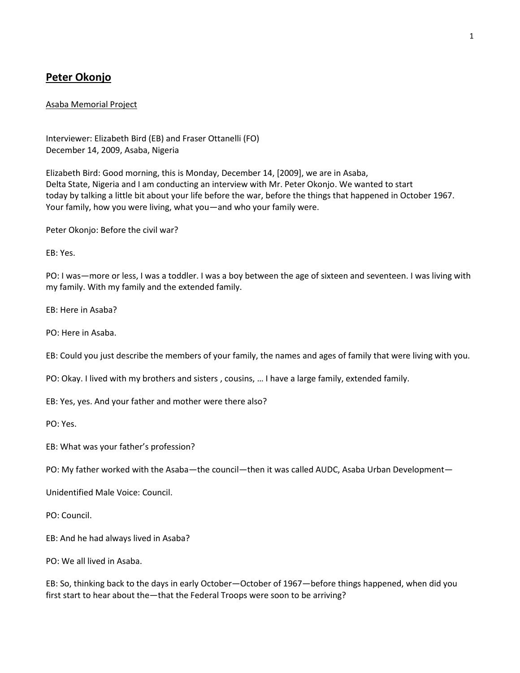## **Peter Okonjo**

## Asaba Memorial Project

Interviewer: Elizabeth Bird (EB) and Fraser Ottanelli (FO) December 14, 2009, Asaba, Nigeria

Elizabeth Bird: Good morning, this is Monday, December 14, [2009], we are in Asaba, Delta State, Nigeria and I am conducting an interview with Mr. Peter Okonjo. We wanted to start today by talking a little bit about your life before the war, before the things that happened in October 1967. Your family, how you were living, what you—and who your family were.

Peter Okonjo: Before the civil war?

EB: Yes.

PO: I was—more or less, I was a toddler. I was a boy between the age of sixteen and seventeen. I was living with my family. With my family and the extended family.

EB: Here in Asaba?

PO: Here in Asaba.

EB: Could you just describe the members of your family, the names and ages of family that were living with you.

PO: Okay. I lived with my brothers and sisters , cousins, … I have a large family, extended family.

EB: Yes, yes. And your father and mother were there also?

PO: Yes.

EB: What was your father's profession?

PO: My father worked with the Asaba—the council—then it was called AUDC, Asaba Urban Development—

Unidentified Male Voice: Council.

PO: Council.

EB: And he had always lived in Asaba?

PO: We all lived in Asaba.

EB: So, thinking back to the days in early October—October of 1967—before things happened, when did you first start to hear about the—that the Federal Troops were soon to be arriving?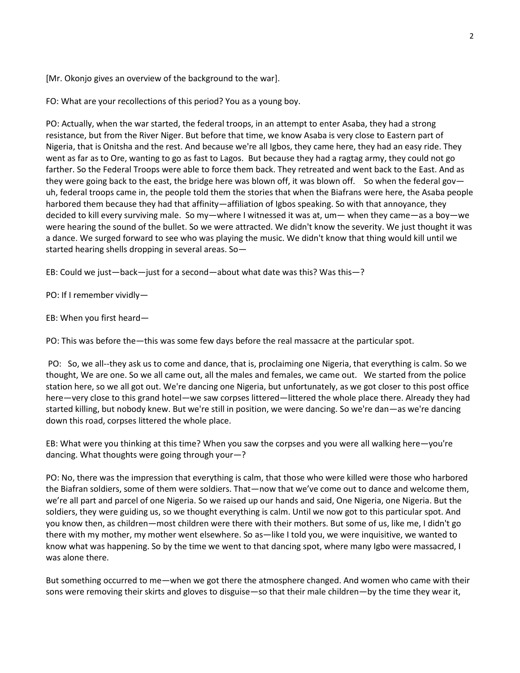[Mr. Okonjo gives an overview of the background to the war].

FO: What are your recollections of this period? You as a young boy.

PO: Actually, when the war started, the federal troops, in an attempt to enter Asaba, they had a strong resistance, but from the River Niger. But before that time, we know Asaba is very close to Eastern part of Nigeria, that is Onitsha and the rest. And because we're all Igbos, they came here, they had an easy ride. They went as far as to Ore, wanting to go as fast to Lagos. But because they had a ragtag army, they could not go farther. So the Federal Troops were able to force them back. They retreated and went back to the East. And as they were going back to the east, the bridge here was blown off, it was blown off. So when the federal govuh, federal troops came in, the people told them the stories that when the Biafrans were here, the Asaba people harbored them because they had that affinity—affiliation of Igbos speaking. So with that annoyance, they decided to kill every surviving male. So my—where I witnessed it was at, um— when they came—as a boy—we were hearing the sound of the bullet. So we were attracted. We didn't know the severity. We just thought it was a dance. We surged forward to see who was playing the music. We didn't know that thing would kill until we started hearing shells dropping in several areas. So—

EB: Could we just—back—just for a second—about what date was this? Was this—?

PO: If I remember vividly—

EB: When you first heard—

PO: This was before the—this was some few days before the real massacre at the particular spot.

PO: So, we all--they ask us to come and dance, that is, proclaiming one Nigeria, that everything is calm. So we thought, We are one. So we all came out, all the males and females, we came out. We started from the police station here, so we all got out. We're dancing one Nigeria, but unfortunately, as we got closer to this post office here—very close to this grand hotel—we saw corpses littered—littered the whole place there. Already they had started killing, but nobody knew. But we're still in position, we were dancing. So we're dan—as we're dancing down this road, corpses littered the whole place.

EB: What were you thinking at this time? When you saw the corpses and you were all walking here—you're dancing. What thoughts were going through your—?

PO: No, there was the impression that everything is calm, that those who were killed were those who harbored the Biafran soldiers, some of them were soldiers. That—now that we've come out to dance and welcome them, we're all part and parcel of one Nigeria. So we raised up our hands and said, One Nigeria, one Nigeria. But the soldiers, they were guiding us, so we thought everything is calm. Until we now got to this particular spot. And you know then, as children—most children were there with their mothers. But some of us, like me, I didn't go there with my mother, my mother went elsewhere. So as—like I told you, we were inquisitive, we wanted to know what was happening. So by the time we went to that dancing spot, where many Igbo were massacred, I was alone there.

But something occurred to me—when we got there the atmosphere changed. And women who came with their sons were removing their skirts and gloves to disguise—so that their male children—by the time they wear it,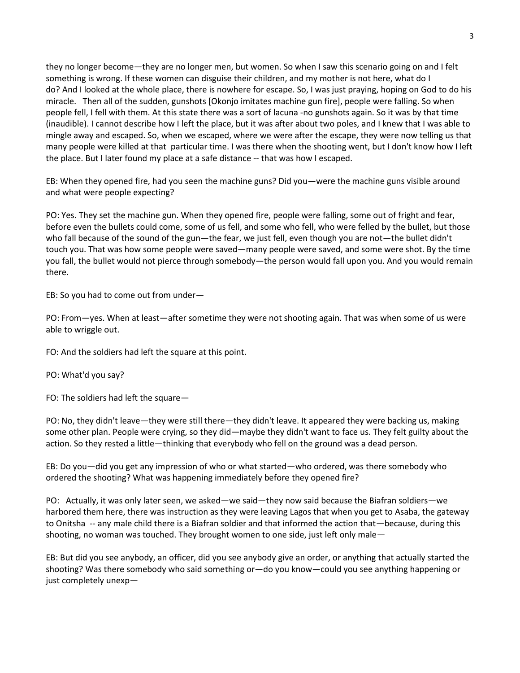they no longer become—they are no longer men, but women. So when I saw this scenario going on and I felt something is wrong. If these women can disguise their children, and my mother is not here, what do I do? And I looked at the whole place, there is nowhere for escape. So, I was just praying, hoping on God to do his miracle. Then all of the sudden, gunshots [Okonjo imitates machine gun fire], people were falling. So when people fell, I fell with them. At this state there was a sort of lacuna -no gunshots again. So it was by that time (inaudible). I cannot describe how I left the place, but it was after about two poles, and I knew that I was able to mingle away and escaped. So, when we escaped, where we were after the escape, they were now telling us that many people were killed at that particular time. I was there when the shooting went, but I don't know how I left the place. But I later found my place at a safe distance -- that was how I escaped.

EB: When they opened fire, had you seen the machine guns? Did you—were the machine guns visible around and what were people expecting?

PO: Yes. They set the machine gun. When they opened fire, people were falling, some out of fright and fear, before even the bullets could come, some of us fell, and some who fell, who were felled by the bullet, but those who fall because of the sound of the gun—the fear, we just fell, even though you are not—the bullet didn't touch you. That was how some people were saved—many people were saved, and some were shot. By the time you fall, the bullet would not pierce through somebody—the person would fall upon you. And you would remain there.

EB: So you had to come out from under—

PO: From—yes. When at least—after sometime they were not shooting again. That was when some of us were able to wriggle out.

FO: And the soldiers had left the square at this point.

PO: What'd you say?

FO: The soldiers had left the square—

PO: No, they didn't leave—they were still there—they didn't leave. It appeared they were backing us, making some other plan. People were crying, so they did—maybe they didn't want to face us. They felt guilty about the action. So they rested a little—thinking that everybody who fell on the ground was a dead person.

EB: Do you—did you get any impression of who or what started—who ordered, was there somebody who ordered the shooting? What was happening immediately before they opened fire?

PO: Actually, it was only later seen, we asked—we said—they now said because the Biafran soldiers—we harbored them here, there was instruction as they were leaving Lagos that when you get to Asaba, the gateway to Onitsha -- any male child there is a Biafran soldier and that informed the action that—because, during this shooting, no woman was touched. They brought women to one side, just left only male—

EB: But did you see anybody, an officer, did you see anybody give an order, or anything that actually started the shooting? Was there somebody who said something or—do you know—could you see anything happening or just completely unexp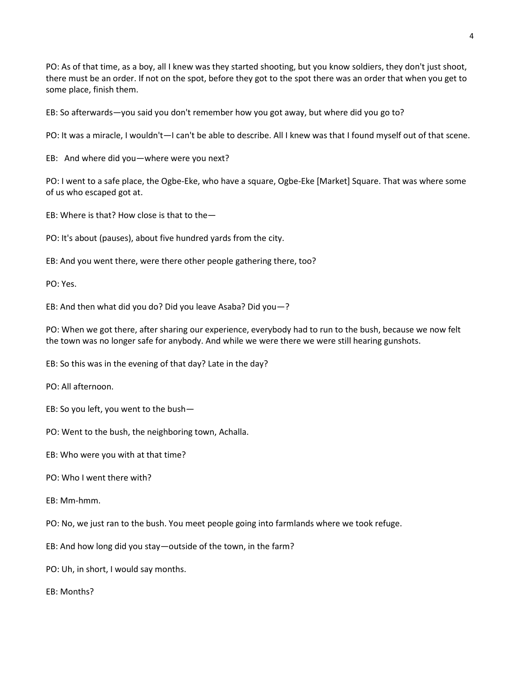PO: As of that time, as a boy, all I knew was they started shooting, but you know soldiers, they don't just shoot, there must be an order. If not on the spot, before they got to the spot there was an order that when you get to some place, finish them.

EB: So afterwards—you said you don't remember how you got away, but where did you go to?

PO: It was a miracle, I wouldn't—I can't be able to describe. All I knew was that I found myself out of that scene.

EB: And where did you—where were you next?

PO: I went to a safe place, the Ogbe-Eke, who have a square, Ogbe-Eke [Market] Square. That was where some of us who escaped got at.

EB: Where is that? How close is that to the—

PO: It's about (pauses), about five hundred yards from the city.

EB: And you went there, were there other people gathering there, too?

PO: Yes.

EB: And then what did you do? Did you leave Asaba? Did you—?

PO: When we got there, after sharing our experience, everybody had to run to the bush, because we now felt the town was no longer safe for anybody. And while we were there we were still hearing gunshots.

EB: So this was in the evening of that day? Late in the day?

PO: All afternoon.

- EB: So you left, you went to the bush—
- PO: Went to the bush, the neighboring town, Achalla.
- EB: Who were you with at that time?
- PO: Who I went there with?
- EB: Mm-hmm.

PO: No, we just ran to the bush. You meet people going into farmlands where we took refuge.

EB: And how long did you stay—outside of the town, in the farm?

PO: Uh, in short, I would say months.

EB: Months?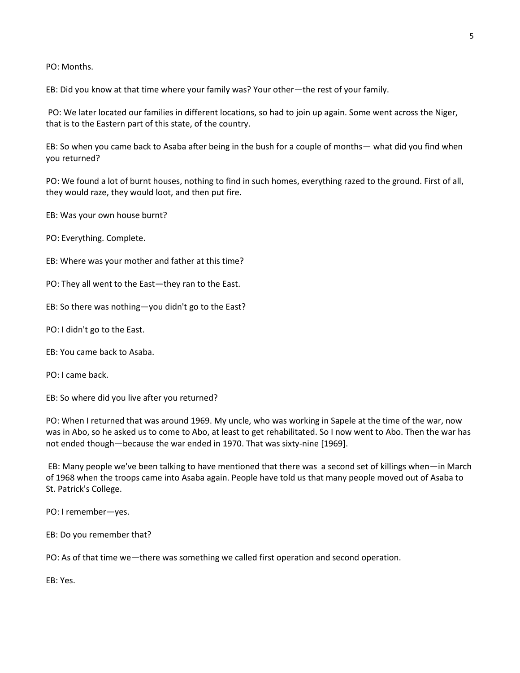PO: Months.

EB: Did you know at that time where your family was? Your other—the rest of your family.

PO: We later located our families in different locations, so had to join up again. Some went across the Niger, that is to the Eastern part of this state, of the country.

EB: So when you came back to Asaba after being in the bush for a couple of months— what did you find when you returned?

PO: We found a lot of burnt houses, nothing to find in such homes, everything razed to the ground. First of all, they would raze, they would loot, and then put fire.

EB: Was your own house burnt?

PO: Everything. Complete.

EB: Where was your mother and father at this time?

PO: They all went to the East—they ran to the East.

EB: So there was nothing—you didn't go to the East?

PO: I didn't go to the East.

EB: You came back to Asaba.

PO: I came back.

EB: So where did you live after you returned?

PO: When I returned that was around 1969. My uncle, who was working in Sapele at the time of the war, now was in Abo, so he asked us to come to Abo, at least to get rehabilitated. So I now went to Abo. Then the war has not ended though—because the war ended in 1970. That was sixty-nine [1969].

EB: Many people we've been talking to have mentioned that there was a second set of killings when—in March of 1968 when the troops came into Asaba again. People have told us that many people moved out of Asaba to St. Patrick's College.

PO: I remember—yes.

EB: Do you remember that?

PO: As of that time we—there was something we called first operation and second operation.

EB: Yes.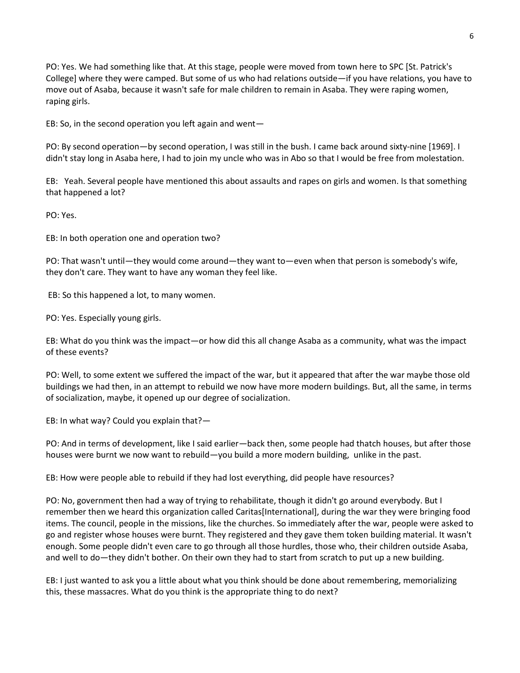PO: Yes. We had something like that. At this stage, people were moved from town here to SPC [St. Patrick's College] where they were camped. But some of us who had relations outside—if you have relations, you have to move out of Asaba, because it wasn't safe for male children to remain in Asaba. They were raping women, raping girls.

EB: So, in the second operation you left again and went—

PO: By second operation—by second operation, I was still in the bush. I came back around sixty-nine [1969]. I didn't stay long in Asaba here, I had to join my uncle who was in Abo so that I would be free from molestation.

EB: Yeah. Several people have mentioned this about assaults and rapes on girls and women. Is that something that happened a lot?

PO: Yes.

EB: In both operation one and operation two?

PO: That wasn't until—they would come around—they want to—even when that person is somebody's wife, they don't care. They want to have any woman they feel like.

EB: So this happened a lot, to many women.

PO: Yes. Especially young girls.

EB: What do you think was the impact—or how did this all change Asaba as a community, what was the impact of these events?

PO: Well, to some extent we suffered the impact of the war, but it appeared that after the war maybe those old buildings we had then, in an attempt to rebuild we now have more modern buildings. But, all the same, in terms of socialization, maybe, it opened up our degree of socialization.

EB: In what way? Could you explain that?—

PO: And in terms of development, like I said earlier—back then, some people had thatch houses, but after those houses were burnt we now want to rebuild—you build a more modern building, unlike in the past.

EB: How were people able to rebuild if they had lost everything, did people have resources?

PO: No, government then had a way of trying to rehabilitate, though it didn't go around everybody. But I remember then we heard this organization called Caritas[International], during the war they were bringing food items. The council, people in the missions, like the churches. So immediately after the war, people were asked to go and register whose houses were burnt. They registered and they gave them token building material. It wasn't enough. Some people didn't even care to go through all those hurdles, those who, their children outside Asaba, and well to do—they didn't bother. On their own they had to start from scratch to put up a new building.

EB: I just wanted to ask you a little about what you think should be done about remembering, memorializing this, these massacres. What do you think is the appropriate thing to do next?